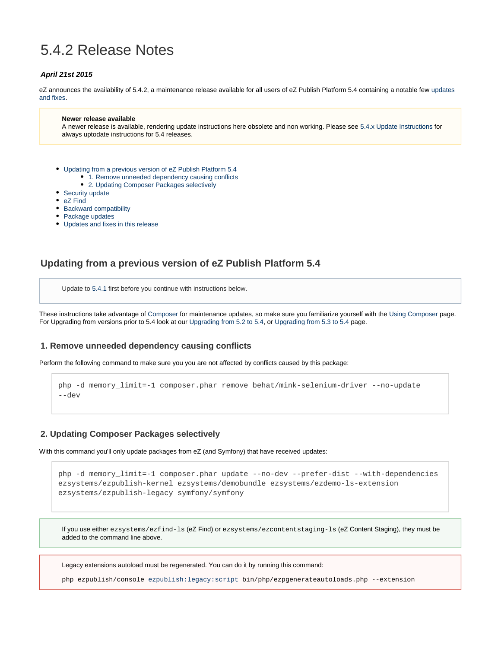# 5.4.2 Release Notes

#### **April 21st 2015**

eZ announces the availability of 5.4.2, a maintenance release available for all users of eZ Publish Platform 5.4 containing a notable few [updates](#page-2-0) [and fixes](#page-2-0).

#### **Newer release available**

A newer release is available, rendering update instructions here obsolete and non working. Please see [5.4.x Update Instructions](https://doc.ez.no/display/EZP/5.4.x+Update+Instructions) for always uptodate instructions for 5.4 releases.

- [Updating from a previous version of eZ Publish Platform 5.4](#page-0-0)
	- 1. Remove unneeded dependency causing conflicts
	- [2. Updating Composer Packages selectively](#page-0-2)
- [Security update](#page-0-3)
- [eZ Find](#page-1-0)
- [Backward compatibility](#page-1-1)
- [Package updates](#page-1-2)
- [Updates and fixes in this release](#page-2-1)

### <span id="page-0-0"></span>**Updating from a previous version of eZ Publish Platform 5.4**

Update to [5.4.1](https://doc.ez.no/display/EZP/5.4.1+Release+Notes) first before you continue with instructions below.

These instructions take advantage of [Composer](https://getcomposer.org/) for maintenance updates, so make sure you familiarize yourself with the [Using Composer](https://doc.ez.no/display/EZP/Using+Composer) page. For Upgrading from versions prior to 5.4 look at our [Upgrading from 5.2 to 5.4](https://doc.ez.no/display/EZP/Upgrading+from+5.2+to+5.4), or [Upgrading from 5.3 to 5.4](https://doc.ez.no/display/EZP/Upgrading+from+5.3+to+5.4) page.

#### <span id="page-0-1"></span>**1. Remove unneeded dependency causing conflicts**

Perform the following command to make sure you you are not affected by conflicts caused by this package:

```
php -d memory_limit=-1 composer.phar remove behat/mink-selenium-driver --no-update
--dev
```
#### <span id="page-0-2"></span>**2. Updating Composer Packages selectively**

With this command you'll only update packages from eZ (and Symfony) that have received updates:

```
php -d memory_limit=-1 composer.phar update --no-dev --prefer-dist --with-dependencies
ezsystems/ezpublish-kernel ezsystems/demobundle ezsystems/ezdemo-ls-extension
ezsystems/ezpublish-legacy symfony/symfony
```
If you use either ezsystems/ezfind-ls (eZ Find) or ezsystems/ezcontentstaging-ls (eZ Content Staging), they must be added to the command line above.

Legacy extensions autoload must be regenerated. You can do it by running this command:

<span id="page-0-3"></span>php ezpublish/console [ezpublish:legacy:script](http://ezpublishlegacyscript/) bin/php/ezpgenerateautoloads.php --extension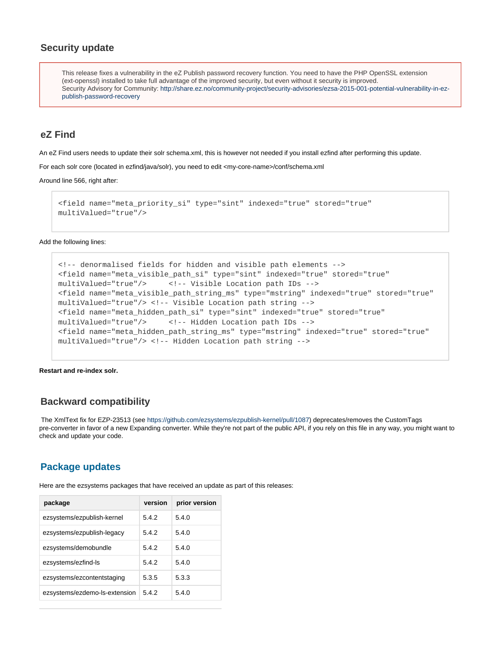### **Security update**

This release fixes a vulnerability in the eZ Publish password recovery function. You need to have the PHP OpenSSL extension (ext-openssl) installed to take full advantage of the improved security, but even without it security is improved. Security Advisory for Community: [http://share.ez.no/community-project/security-advisories/ezsa-2015-001-potential-vulnerability-in-ez](http://share.ez.no/community-project/security-advisories/ezsa-2015-001-potential-vulnerability-in-ez-publish-password-recovery)[publish-password-recovery](http://share.ez.no/community-project/security-advisories/ezsa-2015-001-potential-vulnerability-in-ez-publish-password-recovery)

### <span id="page-1-0"></span>**eZ Find**

An eZ Find users needs to update their solr schema.xml, this is however not needed if you install ezfind after performing this update.

For each solr core (located in ezfind/java/solr), you need to edit <my-core-name>/conf/schema.xml

#### Around line 566, right after:

```
<field name="meta_priority_si" type="sint" indexed="true" stored="true"
multiValued="true"/>
```
Add the following lines:

```
<!-- denormalised fields for hidden and visible path elements -->
<field name="meta_visible_path_si" type="sint" indexed="true" stored="true"
multiValued="true"/> <!-- Visible Location path IDs -->
<field name="meta_visible_path_string_ms" type="mstring" indexed="true" stored="true"
multiValued="true"/> <!-- Visible Location path string -->
<field name="meta_hidden_path_si" type="sint" indexed="true" stored="true"
multiValued="true"/> <!-- Hidden Location path IDs -->
<field name="meta_hidden_path_string_ms" type="mstring" indexed="true" stored="true"
multiValued="true"/> <!-- Hidden Location path string -->
```
**Restart and re-index solr.**

#### <span id="page-1-1"></span>**Backward compatibility**

 The XmlText fix for EZP-23513 (see [https://github.com/ezsystems/ezpublish-kernel/pull/1087\)](https://github.com/ezsystems/ezpublish-kernel/pull/1087) deprecates/removes the CustomTags pre-converter in favor of a new Expanding converter. While they're not part of the public API, if you rely on this file in any way, you might want to check and update your code.

### <span id="page-1-2"></span>**Package updates**

Here are the ezsystems packages that have received an update as part of this releases:

| package                       | version | prior version |
|-------------------------------|---------|---------------|
| ezsystems/ezpublish-kernel    | 5.4.2   | 5.4.0         |
| ezsystems/ezpublish-legacy    | 5.4.2   | 5.4.0         |
| ezsystems/demobundle          | 5.4.2   | 5.4.0         |
| ezsystems/ezfind-ls           | 5.4.2   | 5.4.0         |
| ezsystems/ezcontentstaging    | 5.3.5   | 5.3.3         |
| ezsystems/ezdemo-ls-extension | 5.4.2   | 5.4.0         |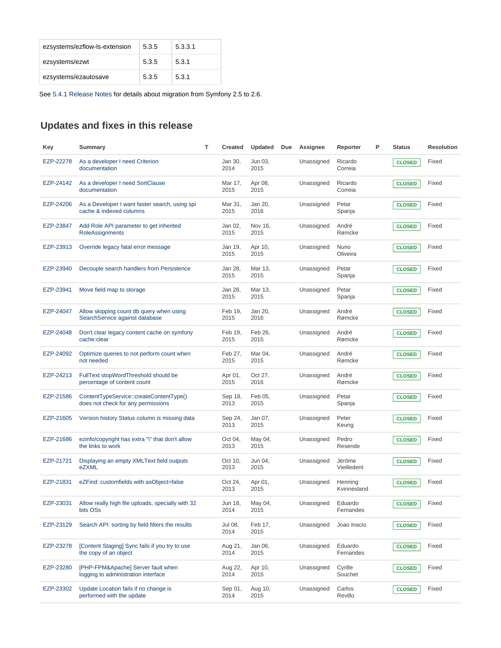| ezsystems/ezflow-ls-extension | 5.3.5 | 5.3.3.1 |
|-------------------------------|-------|---------|
| ezsystems/ezwt                | 5.3.5 | 5.3.1   |
| ezsystems/ezautosave          | 5.3.5 | 5.3.1   |

See [5.4.1 Release Notes](https://doc.ez.no/display/EZP/5.4.1+Release+Notes) for details about migration from Symfony 2.5 to 2.6.

## <span id="page-2-1"></span><span id="page-2-0"></span>**Updates and fixes in this release**

| Key       | Summary                                                                       | т | <b>Created</b>  | Updated         | Due | Assignee   | Reporter               | P | <b>Status</b> | <b>Resolution</b> |
|-----------|-------------------------------------------------------------------------------|---|-----------------|-----------------|-----|------------|------------------------|---|---------------|-------------------|
| EZP-22278 | As a developer I need Criterion<br>documentation                              |   | Jan 30,<br>2014 | Jun 03,<br>2015 |     | Unassigned | Ricardo<br>Correia     |   | <b>CLOSED</b> | Fixed             |
| EZP-24142 | As a developer I need SortClause<br>documentation                             |   | Mar 17,<br>2015 | Apr 08,<br>2015 |     | Unassigned | Ricardo<br>Correia     |   | <b>CLOSED</b> | Fixed             |
| EZP-24206 | As a Developer I want faster search, using spi<br>cache & indexed columns     |   | Mar 31,<br>2015 | Jan 20,<br>2016 |     | Unassigned | Petar<br>Spanja        |   | <b>CLOSED</b> | Fixed             |
| EZP-23847 | Add Role API parameter to get inherited<br>RoleAssignments                    |   | Jan 02,<br>2015 | Nov 16,<br>2015 |     | Unassigned | André<br>Rømcke        |   | <b>CLOSED</b> | Fixed             |
| EZP-23913 | Override legacy fatal error message                                           |   | Jan 19,<br>2015 | Apr 10,<br>2015 |     | Unassigned | Nuno<br>Oliveira       |   | <b>CLOSED</b> | Fixed             |
| EZP-23940 | Decouple search handlers from Persistence                                     |   | Jan 28,<br>2015 | Mar 13,<br>2015 |     | Unassigned | Petar<br>Spanja        |   | <b>CLOSED</b> | Fixed             |
| EZP-23941 | Move field map to storage                                                     |   | Jan 28,<br>2015 | Mar 13,<br>2015 |     | Unassigned | Petar<br>Spanja        |   | <b>CLOSED</b> | Fixed             |
| EZP-24047 | Allow skipping count db query when using<br>SearchService against database    |   | Feb 19,<br>2015 | Jan 20,<br>2016 |     | Unassigned | André<br>Rømcke        |   | <b>CLOSED</b> | Fixed             |
| EZP-24048 | Don't clear legacy content cache on symfony<br>cache:clear                    |   | Feb 19,<br>2015 | Feb 26,<br>2015 |     | Unassigned | André<br>Rømcke        |   | <b>CLOSED</b> | Fixed             |
| EZP-24092 | Optimize queries to not perform count when<br>not needed                      |   | Feb 27,<br>2015 | Mar 04,<br>2015 |     | Unassigned | André<br>Rømcke        |   | <b>CLOSED</b> | Fixed             |
| EZP-24213 | FullText stopWordThreshold should be<br>percentage of content count           |   | Apr 01,<br>2015 | Oct 27,<br>2016 |     | Unassigned | André<br>Rømcke        |   | <b>CLOSED</b> | Fixed             |
| EZP-21586 | ContentTypeService::createContentType()<br>does not check for any permissions |   | Sep 18,<br>2013 | Feb 05,<br>2015 |     | Unassigned | Petar<br>Spanja        |   | <b>CLOSED</b> | Fixed             |
| EZP-21605 | Version history Status column is missing data                                 |   | Sep 24,<br>2013 | Jan 07,<br>2015 |     | Unassigned | Peter<br>Keung         |   | <b>CLOSED</b> | Fixed             |
| EZP-21686 | ezinfo/copyright has extra "\" that don't allow<br>the links to work          |   | Oct 04,<br>2013 | May 04,<br>2015 |     | Unassigned | Pedro<br>Resende       |   | <b>CLOSED</b> | Fixed             |
| EZP-21721 | Displaying an empty XMLText field outputs<br>eZXML                            |   | Oct 10,<br>2013 | Jun 04,<br>2015 |     | Unassigned | Jérôme<br>Vieilledent  |   | <b>CLOSED</b> | Fixed             |
| EZP-21831 | eZFind: customfields with asObject=false                                      |   | Oct 24,<br>2013 | Apr 01,<br>2015 |     | Unassigned | Henning<br>Kvinnesland |   | <b>CLOSED</b> | Fixed             |
| EZP-23031 | Allow really high file uploads, specially with 32<br>bits OSs                 |   | Jun 18,<br>2014 | May 04,<br>2015 |     | Unassigned | Eduardo<br>Fernandes   |   | <b>CLOSED</b> | Fixed             |
| EZP-23129 | Search API: sorting by field filters the results                              |   | Jul 08,<br>2014 | Feb 17,<br>2015 |     | Unassigned | Joao Inacio            |   | <b>CLOSED</b> | Fixed             |
| EZP-23278 | [Content Staging] Sync fails if you try to use<br>the copy of an object       |   | Aug 21,<br>2014 | Jan 06,<br>2015 |     | Unassigned | Eduardo<br>Fernandes   |   | <b>CLOSED</b> | Fixed             |
| EZP-23280 | [PHP-FPM&Apache] Server fault when<br>logging to administration interface     |   | Aug 22,<br>2014 | Apr 10,<br>2015 |     | Unassigned | Cyrille<br>Souchet     |   | <b>CLOSED</b> | Fixed             |
| EZP-23302 | Update Location fails if no change is<br>performed with the update            |   | Sep 01,<br>2014 | Aug 10,<br>2015 |     | Unassigned | Carlos<br>Revillo      |   | <b>CLOSED</b> | Fixed             |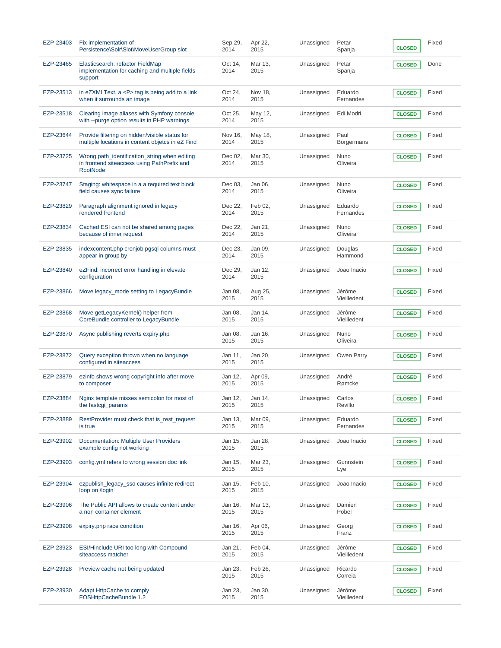| EZP-23403 | Fix implementation of<br>Persistence\Solr\Slot\MoveUserGroup slot                                               | Sep 29,<br>2014 | Apr 22,<br>2015 | Unassigned | Petar<br>Spanja       | <b>CLOSED</b> | Fixed |
|-----------|-----------------------------------------------------------------------------------------------------------------|-----------------|-----------------|------------|-----------------------|---------------|-------|
| EZP-23465 | Elasticsearch: refactor FieldMap<br>implementation for caching and multiple fields<br>support                   | Oct 14,<br>2014 | Mar 13,<br>2015 | Unassigned | Petar<br>Spanja       | <b>CLOSED</b> | Done  |
| EZP-23513 | in eZXMLText, $a < P$ tag is being add to a link<br>when it surrounds an image                                  | Oct 24,<br>2014 | Nov 18,<br>2015 | Unassigned | Eduardo<br>Fernandes  | <b>CLOSED</b> | Fixed |
| EZP-23518 | Clearing image aliases with Symfony console<br>with --purge option results in PHP warnings                      | Oct 25,<br>2014 | May 12,<br>2015 | Unassigned | Edi Modri             | <b>CLOSED</b> | Fixed |
| EZP-23644 | Provide filtering on hidden/visible status for<br>multiple locations in content objetcs in eZ Find              | Nov 16,<br>2014 | May 18,<br>2015 | Unassigned | Paul<br>Borgermans    | <b>CLOSED</b> | Fixed |
| EZP-23725 | Wrong path_identification_string when editing<br>in frontend siteaccess using PathPrefix and<br><b>RootNode</b> | Dec 02,<br>2014 | Mar 30,<br>2015 | Unassigned | Nuno<br>Oliveira      | <b>CLOSED</b> | Fixed |
| EZP-23747 | Staging: whitespace in a a required text block<br>field causes sync failure                                     | Dec 03,<br>2014 | Jan 06,<br>2015 | Unassigned | Nuno<br>Oliveira      | <b>CLOSED</b> | Fixed |
| EZP-23829 | Paragraph alignment ignored in legacy<br>rendered frontend                                                      | Dec 22,<br>2014 | Feb 02,<br>2015 | Unassigned | Eduardo<br>Fernandes  | <b>CLOSED</b> | Fixed |
| EZP-23834 | Cached ESI can not be shared among pages<br>because of inner request                                            | Dec 22.<br>2014 | Jan 21,<br>2015 | Unassigned | Nuno<br>Oliveira      | <b>CLOSED</b> | Fixed |
| EZP-23835 | indexcontent.php cronjob pgsql columns must<br>appear in group by                                               | Dec 23,<br>2014 | Jan 09,<br>2015 | Unassigned | Douglas<br>Hammond    | <b>CLOSED</b> | Fixed |
| EZP-23840 | eZFind: incorrect error handling in elevate<br>configuration                                                    | Dec 29,<br>2014 | Jan 12,<br>2015 | Unassigned | Joao Inacio           | <b>CLOSED</b> | Fixed |
| EZP-23866 | Move legacy_mode setting to LegacyBundle                                                                        | Jan 08,<br>2015 | Aug 25,<br>2015 | Unassigned | Jérôme<br>Vieilledent | <b>CLOSED</b> | Fixed |
| EZP-23868 | Move getLegacyKernel() helper from<br>CoreBundle controller to LegacyBundle                                     | Jan 08,<br>2015 | Jan 14,<br>2015 | Unassigned | Jérôme<br>Vieilledent | <b>CLOSED</b> | Fixed |
| EZP-23870 | Async publishing reverts expiry.php                                                                             | Jan 08,<br>2015 | Jan 16,<br>2015 | Unassigned | Nuno<br>Oliveira      | <b>CLOSED</b> | Fixed |
| EZP-23872 | Query exception thrown when no language<br>configured in siteaccess                                             | Jan 11,<br>2015 | Jan 20,<br>2015 | Unassigned | Owen Parry            | <b>CLOSED</b> | Fixed |
| EZP-23879 | ezinfo shows wrong copyright info after move<br>to composer                                                     | Jan 12,<br>2015 | Apr 09,<br>2015 | Unassigned | André<br>Rømcke       | <b>CLOSED</b> | Fixed |
| EZP-23884 | Nginx template misses semicolon for most of<br>the fastcgi_params                                               | Jan 12,<br>2015 | Jan 14,<br>2015 | Unassigned | Carlos<br>Revillo     | <b>CLOSED</b> | Fixed |
| EZP-23889 | RestProvider must check that is_rest_request<br>is true                                                         | Jan 13.<br>2015 | Mar 09,<br>2015 | Unassigned | Eduardo<br>Fernandes  | <b>CLOSED</b> | Fixed |
| EZP-23902 | Documentation: Multiple User Providers<br>example config not working                                            | Jan 15,<br>2015 | Jan 28,<br>2015 | Unassigned | Joao Inacio           | <b>CLOSED</b> | Fixed |
| EZP-23903 | config.yml refers to wrong session doc link                                                                     | Jan 15,<br>2015 | Mar 23,<br>2015 | Unassigned | Gunnstein<br>Lye      | <b>CLOSED</b> | Fixed |
| EZP-23904 | ezpublish_legacy_sso causes infinite redirect<br>loop on /login                                                 | Jan 15,<br>2015 | Feb 10,<br>2015 | Unassigned | Joao Inacio           | <b>CLOSED</b> | Fixed |
| EZP-23906 | The Public API allows to create content under<br>a non container element                                        | Jan 16,<br>2015 | Mar 13,<br>2015 | Unassigned | Damien<br>Pobel       | <b>CLOSED</b> | Fixed |
| EZP-23908 | expiry.php race condition                                                                                       | Jan 16,<br>2015 | Apr 06,<br>2015 | Unassigned | Georg<br>Franz        | <b>CLOSED</b> | Fixed |
| EZP-23923 | ESI/Hinclude URI too long with Compound<br>siteaccess matcher                                                   | Jan 21,<br>2015 | Feb 04,<br>2015 | Unassigned | Jérôme<br>Vieilledent | <b>CLOSED</b> | Fixed |
| EZP-23928 | Preview cache not being updated                                                                                 | Jan 23,<br>2015 | Feb 26,<br>2015 | Unassigned | Ricardo<br>Correia    | <b>CLOSED</b> | Fixed |
| EZP-23930 | Adapt HttpCache to comply<br>FOSHttpCacheBundle 1.2                                                             | Jan 23,<br>2015 | Jan 30,<br>2015 | Unassigned | Jérôme<br>Vieilledent | <b>CLOSED</b> | Fixed |